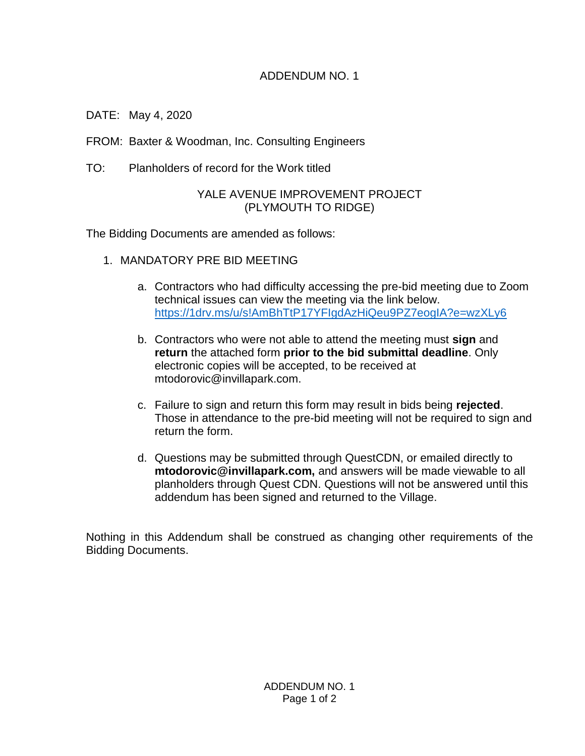## ADDENDUM NO. 1

DATE: May 4, 2020

FROM: Baxter & Woodman, Inc. Consulting Engineers

TO: Planholders of record for the Work titled

## YALE AVENUE IMPROVEMENT PROJECT (PLYMOUTH TO RIDGE)

The Bidding Documents are amended as follows:

- 1. MANDATORY PRE BID MEETING
	- a. Contractors who had difficulty accessing the pre-bid meeting due to Zoom technical issues can view the meeting via the link below. <https://1drv.ms/u/s!AmBhTtP17YFIgdAzHiQeu9PZ7eogIA?e=wzXLy6>
	- b. Contractors who were not able to attend the meeting must **sign** and **return** the attached form **prior to the bid submittal deadline**. Only electronic copies will be accepted, to be received at mtodorovic@invillapark.com.
	- c. Failure to sign and return this form may result in bids being **rejected**. Those in attendance to the pre-bid meeting will not be required to sign and return the form.
	- d. Questions may be submitted through QuestCDN, or emailed directly to **mtodorovic@invillapark.com,** and answers will be made viewable to all planholders through Quest CDN. Questions will not be answered until this addendum has been signed and returned to the Village.

Nothing in this Addendum shall be construed as changing other requirements of the Bidding Documents.